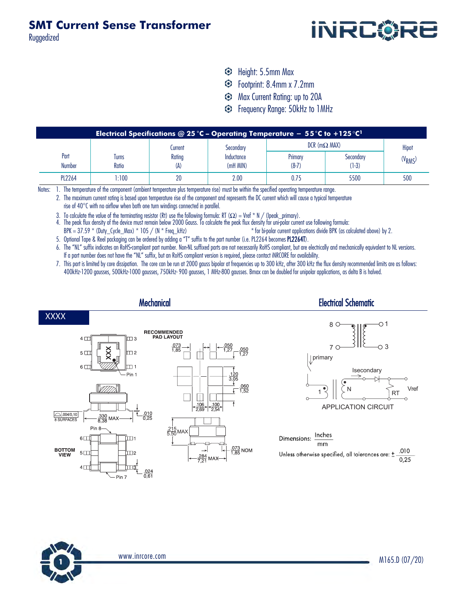Ruggedized



- Height: 5.5mm Max
- Footprint: 8.4mm x 7.2mm
- $\odot$  Max Current Rating: up to 20A
- **S** Frequency Range: 50kHz to 1MHz

| Electrical Specifications @ 25 °C - Operating Temperature - 55 °C to +125 °C $^1$ |              |         |            |                        |           |                     |  |  |  |  |  |  |
|-----------------------------------------------------------------------------------|--------------|---------|------------|------------------------|-----------|---------------------|--|--|--|--|--|--|
|                                                                                   |              | Current | Secondary  | $DCR$ (m $\Omega$ MAX) |           | Hipot               |  |  |  |  |  |  |
| Part                                                                              | <b>lurns</b> | Rating  | Inductance | Primary                | Secondary | (V <sub>RMS</sub> ) |  |  |  |  |  |  |
| <b>Number</b>                                                                     | Ratio        | (A)     | (mH MIN)   | $(8-7)$                | (1-3)     |                     |  |  |  |  |  |  |
| <b>PL2264</b>                                                                     | 1:100        |         | 2.00       | 0.75                   | 5500      | 500                 |  |  |  |  |  |  |

Notes: 1. The temperature of the component (ambient temperature plus temperature rise) must be within the specified operating temperature range.

2. The maximum current rating is based upon temperature rise of the component and represents the DC current which will cause a typical temperature

rise of 40°C with no airflow when both one turn windings connected in parallel.

3. To calculate the value of the terminating resistor (Rt) use the following formula: RT ( $\Omega$ ) = Vref \* N / (Ipeak\_primary).

4. The peak flux density of the device must remain below 2000 Gauss. To calculate the peak flux density for uni-polar current use following formula:  $BF = 37.59 * (Duty_Cycle_Max) * 105 / (N * Free_kHz)$  \* for bi-polar current applications divide BPK (as calculated above) by 2.

5. Optional Tape & Reel packaging can be ordered by adding a "T" suffix to the part number (i.e. PL2264 becomes PL2264T).

6. The "NL" suffix indicates an RoHS-compliant part number. Non-NL suffixed parts are not necessarily RoHS compliant, but are electrically and mechanically equivalent to NL versions. If a part number does not have the "NL" suffix, but an RoHS compliant version is required, please contact iNRCORE for availability.

7. This part is limited by core dissipation. The core can be run at 2000 gauss bipolar at frequencies up to 300 kHz, after 300 kHz the flux density recommended limits are as follows: 400kHz-1200 gausses, 500kHz-1000 gausses, 750kHz- 900 gausses, 1 MHz-800 gausses. Bmax can be doubled for unipolar applications, as delta B is halved.